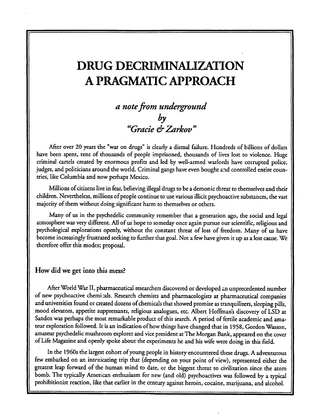## DRUG DECRIMINALIZATION A PRAGMATIC APPROACH

# a note from underground by "Gracie & Zarkov "

After over 20 years the "war on drugs" is clearly a dismal failure. Hundreds of billions of dollars have been spent, tens of thousands of people imprisoned, thousands of lives lost to violence. Huge criminal cartels created by enormous profits and led by well-armed warlords have corrupted police, judges, and politicians around the world. Criminal gangs have even bought and controlled entire coun tries, like Columbia and now perhaps Mexico.

Millions of citizens live in fear, believing illegal drugs to be a demonic threat to themselves and their children. Nevertheless, millions of people continue to use various illicit psychoactive substances, the vast majority of them without doing significant harm to themselves or others.

Many of us in the psychedelic community remember that a generation ago, the social and legal atmosphere was very different. All of us hope to someday once again pursue our scientific, religious and psychological explorations openly, without the constant threat of loss of freedom. Many of us have become increasingly frustrated seeking to further that goal. Not a few have given it up as a lost cause. We therefore offer this modest proposal.

#### How did we get into this mess?

After World War II, pharmaceutical researchers discovered or developed an unprecedented number of new psychoactive chemicals. Research chemists and pharmacologists at pharmaceutical companies and universities found or created dozens of chemicals that showed promise as tranquilizers, sleeping pills, mood elevators, appetite suppressants, religious analogues, etc. Albert Hoffman's discovery of LSD at Sandoz was perhaps the most remarkable product of this search. A period of fertile academic and ama teur exploration followed. It is an indication of how things have changed that in 1958, Gordon Wasson, amateur psychedelic mushroom explorer and vice president at The Morgan Bank, appeared on the cover of Life Magazine and openly spoke about the experiments he and his wife were doing in this field.

In the 1960s the largest cohort of young people in history encountered these drugs. A adventurous few embarked on an intoxicating trip that (depending on your point of view), represented either the greatest leap forward of the human mind to date, or the biggest threat to civilization since the atom bomb. The typically American enthusiasm for new (and old) psychoactives was followed by a typical prohibitionist reaction, like that earlier in the century against heroin, cocaine, marijuana, and alcohol.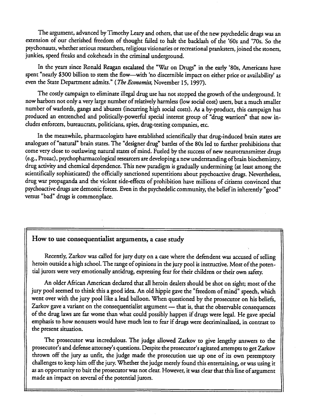The argument, advanced by Timothy Leary and others, that use of the new psychedelic drugs was an extension of our cherished freedom of thought failed to halt the backlash of the '60s and 70s. So the psychonauts, whether serious researchers, religious visionaries or recreational pranksters, joined the stoners, junkies, speed freaks and cokeheads in the criminal underground.

In the years since Ronald Reagan escalated the "War on Drugs" in the early '80s, Americans have spent "nearly \$300 billion to stem the flow—with 'no discernible impact on either price or availability' as even the State Department admits." (The Economist, November 15, 1997).

The cosdy campaign to eliminate illegal drug use has not stopped the growth of the underground. It now harbors not only a very large number of relatively harmless (low social cost) users, but a much smaller number of warlords, gangs and abusers (incurring high social costs). As a by-product, this campaign has produced an entrenched and politically-powerful special interest group of "drug warriors" that now in cludes enforcers, bureaucrats, politicians, spies, drug-testing companies, etc.

In the meanwhile, pharmacologists have established scientifically that drug-induced brain states are analogues of "natural" brain states. The "designer drug" battles of the 80s led to further prohibitions that come very close to oudawing natural states of mind. Fueled by the success of new neurotransmitter drugs (e.g., Prozac), psychopharmacological researcers are developing a new understanding of brain biochemistry, drug activity and chemical dependence. This new paradigm is gradually undermining (at least among the scientifically sophisticated) the officially sanctioned superstitions about psychoactive drugs. Nevertheless, drug war propaganda and the violent side-effects of prohibition have millions of citizens convinced that psychoactive drugs are demonic forces. Even in the psychedelic community, the belief in inherendy "good" versus "bad" drugs is commonplace.

#### How to use consequentialist arguments, a case study

Recendy, Zarkov was called for jury duty on a case where the defendent was accused of selling heroin outside a high school. The range of opinions in the jury pool is instructive. Most of the poten tial jurors were very emotionally antidrug, expressing fear for their children or their own safety.

An older African American declared that all heroin dealers should be shot on sight; most of the jury pool seemed to think this a good idea. An old hippie gave the "freedom of mind" speech, which went over with the jury pool like a lead balloon. When questioned by the prosecutor on his beliefs, Zarkov gave a variant on the consequentialist argument — that is, that the observable consequences of the drug laws are far worse than what could possibly happen if drugs were legal. He gave special emphasis to how nonusers would have much less to fear if drugs were decriminalized, in contrast to the present situation.

The prosecutor was incredulous. The judge allowed Zarkov to give lengthy answers to the prosecutor's and defense attorney's questions. Despite the prosecutor's agitated attempts to get Zarkov thrown off the jury as unfit, the judge made the prosecution use up one of its own peremptory challenges to keep him off the jury. Whether the judge merely found this entertaining, or was using it as an opportunity to bait the prosecutor was not clear. However, it was clear that this line of argument made an impact on several of the potential jurors.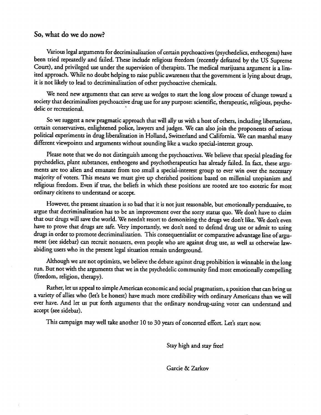#### So, what do we do now?

Various legal arguments for decriminalization of certain psychoactives (psychedelics, entheogens) have been tried repeatedly and failed. These include religious freedom (recendy defeated by the US Supreme Court), and privileged use under the supervision of therapists. The medical marijuana argument is a lim ited approach. While no doubt helping to raise public awareness that the government is lying about drugs, it is not likely to lead to decriminalization of other psychoactive chemicals.

We need new arguments that can serve as wedges to start the long slow process of change toward a society that decriminalizes psychoactive drug use for any purpose: scientific, therapeutic, religious, psyche delic or recreational.

So we suggest a new pragmatic approach that will ally us with a host of others, including libertarians, certain conservatives, enlightened police, lawyers and judges. We can also join the proponents of serious political experiments in drug liberalization in Holland, Switzerland and California. We can marshal many different viewpoints and arguments without sounding like a wacko special-interest group.

Please note that we do not distinguish among the psychoactives. We believe that special pleading for psychedelics, plant substances, entheogens and psychotherapeutics has already failed. In fact, these argu ments are too alien and emanate from too small a special-interest group to ever win over the necessary majority of voters. This means we must give up cherished positions based on millenial utopianism and religious freedom. Even if true, the beliefs in which these positions are rooted are too esoteric for most ordinary citizens to understand or accept.

However, the present situation is so bad that it is not just reasonable, but emotionally persduasive, to argue that decriminalization has to be an improvement over the sorry status quo. We don't have to claim that our drugs will save the world. We needn't resort to demonizing the drugs we don't like. We don't even have to prove that drugs are safe. Very importandy, we don't need to defend drug use or admit to using drugs in order to promote decriminalization. This consequentialist or comparative advantage line of argu ment (see sidebar) can recruit nonusers, even people who are against drug use, as well as otherwise lawabiding users who in the present legal situation remain underground.

Although we are not optimists, we believe the debate against drug prohibition is winnable in the long run. But not with the arguments that we in the psychedelic community find most emotionally compelling (freedom, religion, therapy).

Rather, let us appeal to simple American economic and social pragmatism, a position that can bring us a variety of allies who (let's be honest) have much more credibility with ordinary Americans than we will ever have. And let us put forth arguments that the ordinary nondrug-using voter can understand and accept (see sidebar).

This campaign may well take another 10 to 30 years of concerted effort. Let's start now.

Stay high and stay free!

Garcie & Zarkov